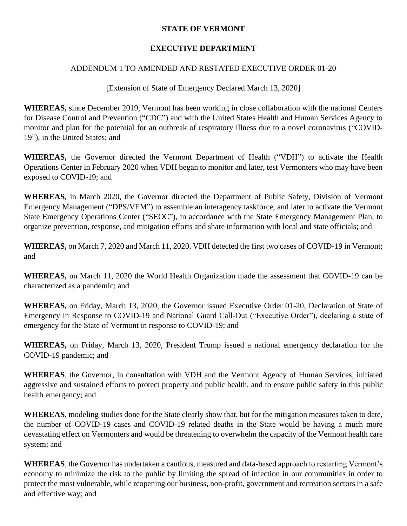## **STATE OF VERMONT**

## **EXECUTIVE DEPARTMENT**

## ADDENDUM 1 TO AMENDED AND RESTATED EXECUTIVE ORDER 01-20

[Extension of State of Emergency Declared March 13, 2020]

**WHEREAS,** since December 2019, Vermont has been working in close collaboration with the national Centers for Disease Control and Prevention ("CDC") and with the United States Health and Human Services Agency to monitor and plan for the potential for an outbreak of respiratory illness due to a novel coronavirus ("COVID-19"), in the United States; and

**WHEREAS,** the Governor directed the Vermont Department of Health ("VDH") to activate the Health Operations Center in February 2020 when VDH began to monitor and later, test Vermonters who may have been exposed to COVID-19; and

**WHEREAS,** in March 2020, the Governor directed the Department of Public Safety, Division of Vermont Emergency Management ("DPS/VEM") to assemble an interagency taskforce, and later to activate the Vermont State Emergency Operations Center ("SEOC"), in accordance with the State Emergency Management Plan, to organize prevention, response, and mitigation efforts and share information with local and state officials; and

**WHEREAS,** on March 7, 2020 and March 11, 2020, VDH detected the first two cases of COVID-19 in Vermont; and

**WHEREAS,** on March 11, 2020 the World Health Organization made the assessment that COVID-19 can be characterized as a pandemic; and

**WHEREAS,** on Friday, March 13, 2020, the Governor issued Executive Order 01-20, Declaration of State of Emergency in Response to COVID-19 and National Guard Call-Out ("Executive Order"), declaring a state of emergency for the State of Vermont in response to COVID-19; and

**WHEREAS,** on Friday, March 13, 2020, President Trump issued a national emergency declaration for the COVID-19 pandemic; and

**WHEREAS**, the Governor, in consultation with VDH and the Vermont Agency of Human Services, initiated aggressive and sustained efforts to protect property and public health, and to ensure public safety in this public health emergency; and

**WHEREAS**, modeling studies done for the State clearly show that, but for the mitigation measures taken to date, the number of COVID-19 cases and COVID-19 related deaths in the State would be having a much more devastating effect on Vermonters and would be threatening to overwhelm the capacity of the Vermont health care system; and

**WHEREAS**, the Governor has undertaken a cautious, measured and data-based approach to restarting Vermont's economy to minimize the risk to the public by limiting the spread of infection in our communities in order to protect the most vulnerable, while reopening our business, non-profit, government and recreation sectors in a safe and effective way; and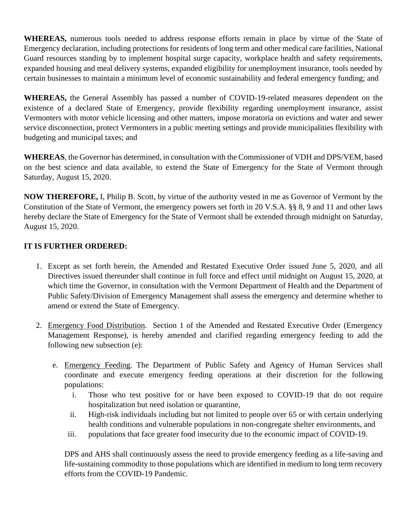**WHEREAS,** numerous tools needed to address response efforts remain in place by virtue of the State of Emergency declaration, including protections for residents of long term and other medical care facilities, National Guard resources standing by to implement hospital surge capacity, workplace health and safety requirements, expanded housing and meal delivery systems, expanded eligibility for unemployment insurance, tools needed by certain businesses to maintain a minimum level of economic sustainability and federal emergency funding; and

**WHEREAS,** the General Assembly has passed a number of COVID-19-related measures dependent on the existence of a declared State of Emergency, provide flexibility regarding unemployment insurance, assist Vermonters with motor vehicle licensing and other matters, impose moratoria on evictions and water and sewer service disconnection, protect Vermonters in a public meeting settings and provide municipalities flexibility with budgeting and municipal taxes; and

**WHEREAS**, the Governor has determined, in consultation with the Commissioner of VDH and DPS/VEM, based on the best science and data available, to extend the State of Emergency for the State of Vermont through Saturday, August 15, 2020.

**NOW THEREFORE,** I, Philip B. Scott, by virtue of the authority vested in me as Governor of Vermont by the Constitution of the State of Vermont, the emergency powers set forth in 20 V.S.A. §§ 8, 9 and 11 and other laws hereby declare the State of Emergency for the State of Vermont shall be extended through midnight on Saturday, August 15, 2020.

## **IT IS FURTHER ORDERED:**

- 1. Except as set forth herein, the Amended and Restated Executive Order issued June 5, 2020, and all Directives issued thereunder shall continue in full force and effect until midnight on August 15, 2020, at which time the Governor, in consultation with the Vermont Department of Health and the Department of Public Safety/Division of Emergency Management shall assess the emergency and determine whether to amend or extend the State of Emergency.
- 2. Emergency Food Distribution. Section 1 of the Amended and Restated Executive Order (Emergency Management Response), is hereby amended and clarified regarding emergency feeding to add the following new subsection (e):
	- e. Emergency Feeding. The Department of Public Safety and Agency of Human Services shall coordinate and execute emergency feeding operations at their discretion for the following populations:
		- i. Those who test positive for or have been exposed to COVID-19 that do not require hospitalization but need isolation or quarantine,
		- ii. High-risk individuals including but not limited to people over 65 or with certain underlying health conditions and vulnerable populations in non-congregate shelter environments, and
		- iii. populations that face greater food insecurity due to the economic impact of COVID-19.

DPS and AHS shall continuously assess the need to provide emergency feeding as a life-saving and life-sustaining commodity to those populations which are identified in medium to long term recovery efforts from the COVID-19 Pandemic.